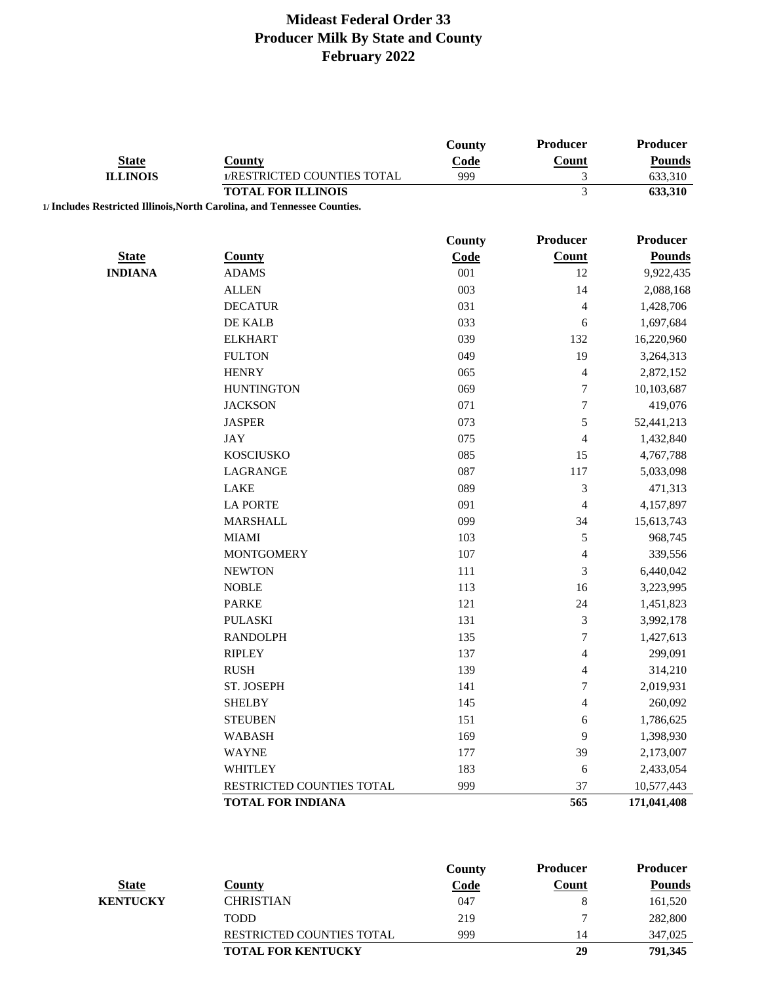|                                 |                                                                          | County        | <b>Producer</b>          | Producer      |
|---------------------------------|--------------------------------------------------------------------------|---------------|--------------------------|---------------|
| <b>State</b><br><b>ILLINOIS</b> | <b>County</b>                                                            | Code          | <b>Count</b>             | <b>Pounds</b> |
|                                 | 1/RESTRICTED COUNTIES TOTAL                                              | 999           | 3                        | 633,310       |
|                                 | <b>TOTAL FOR ILLINOIS</b>                                                |               | 3                        | 633,310       |
|                                 | 1/ Includes Restricted Illinois, North Carolina, and Tennessee Counties. |               |                          |               |
|                                 |                                                                          | <b>County</b> | Producer                 | Producer      |
| <b>State</b>                    | <b>County</b>                                                            | Code          | <b>Count</b>             | <b>Pounds</b> |
| <b>INDIANA</b>                  | <b>ADAMS</b>                                                             | 001           | 12                       | 9,922,435     |
|                                 | <b>ALLEN</b>                                                             | 003           | 14                       | 2,088,168     |
|                                 | <b>DECATUR</b>                                                           | 031           | 4                        | 1,428,706     |
|                                 | DE KALB                                                                  | 033           | 6                        | 1,697,684     |
|                                 | <b>ELKHART</b>                                                           | 039           | 132                      | 16,220,960    |
|                                 | <b>FULTON</b>                                                            | 049           | 19                       | 3,264,313     |
|                                 | <b>HENRY</b>                                                             | 065           | 4                        | 2,872,152     |
|                                 | <b>HUNTINGTON</b>                                                        | 069           | $\tau$                   | 10,103,687    |
|                                 | <b>JACKSON</b>                                                           | 071           | $\boldsymbol{7}$         | 419,076       |
|                                 | <b>JASPER</b>                                                            | 073           | 5                        | 52,441,213    |
|                                 | <b>JAY</b>                                                               | 075           | $\overline{\mathbf{4}}$  | 1,432,840     |
|                                 | <b>KOSCIUSKO</b>                                                         | 085           | 15                       | 4,767,788     |
|                                 | LAGRANGE                                                                 | 087           | 117                      | 5,033,098     |
|                                 | LAKE                                                                     | 089           | $\mathfrak{Z}$           | 471,313       |
|                                 | <b>LA PORTE</b>                                                          | 091           | 4                        | 4,157,897     |
|                                 | <b>MARSHALL</b>                                                          | 099           | 34                       | 15,613,743    |
|                                 | <b>MIAMI</b>                                                             | 103           | $\mathfrak s$            | 968,745       |
|                                 | <b>MONTGOMERY</b>                                                        | 107           | $\overline{\mathcal{A}}$ | 339,556       |
|                                 | <b>NEWTON</b>                                                            | 111           | 3                        | 6,440,042     |
|                                 | <b>NOBLE</b>                                                             | 113           | 16                       | 3,223,995     |
|                                 | <b>PARKE</b>                                                             | 121           | 24                       | 1,451,823     |
|                                 | <b>PULASKI</b>                                                           | 131           | $\mathfrak{Z}$           | 3,992,178     |
|                                 | <b>RANDOLPH</b>                                                          | 135           | $\overline{7}$           | 1,427,613     |
|                                 | <b>RIPLEY</b>                                                            | 137           | $\overline{\mathbf{4}}$  | 299,091       |
|                                 | <b>RUSH</b>                                                              | 139           | 4                        | 314,210       |
|                                 | ST. JOSEPH                                                               | 141           | $\tau$                   | 2,019,931     |
|                                 | <b>SHELBY</b>                                                            | 145           | $\overline{4}$           | 260,092       |
|                                 | <b>STEUBEN</b>                                                           | 151           | 6                        | 1,786,625     |
|                                 | <b>WABASH</b>                                                            | 169           | 9                        | 1,398,930     |
|                                 | <b>WAYNE</b>                                                             | 177           | 39                       | 2,173,007     |
|                                 | <b>WHITLEY</b>                                                           | 183           | 6                        | 2,433,054     |
|                                 | RESTRICTED COUNTIES TOTAL                                                | 999           | 37                       | 10,577,443    |
|                                 | <b>TOTAL FOR INDIANA</b>                                                 |               | 565                      | 171,041,408   |
|                                 |                                                                          |               |                          |               |

|                 |                                  | County      | <b>Producer</b> | <b>Producer</b> |
|-----------------|----------------------------------|-------------|-----------------|-----------------|
| <b>State</b>    | Countv                           | <u>Code</u> | Count           | <b>Pounds</b>   |
| <b>KENTUCKY</b> | <b>CHRISTIAN</b>                 | 047         |                 | 161,520         |
|                 | <b>TODD</b>                      | 219         |                 | 282,800         |
|                 | <b>RESTRICTED COUNTIES TOTAL</b> | 999         |                 | 347,025         |
|                 | <b>TOTAL FOR KENTUCKY</b>        |             | 29              | 791,345         |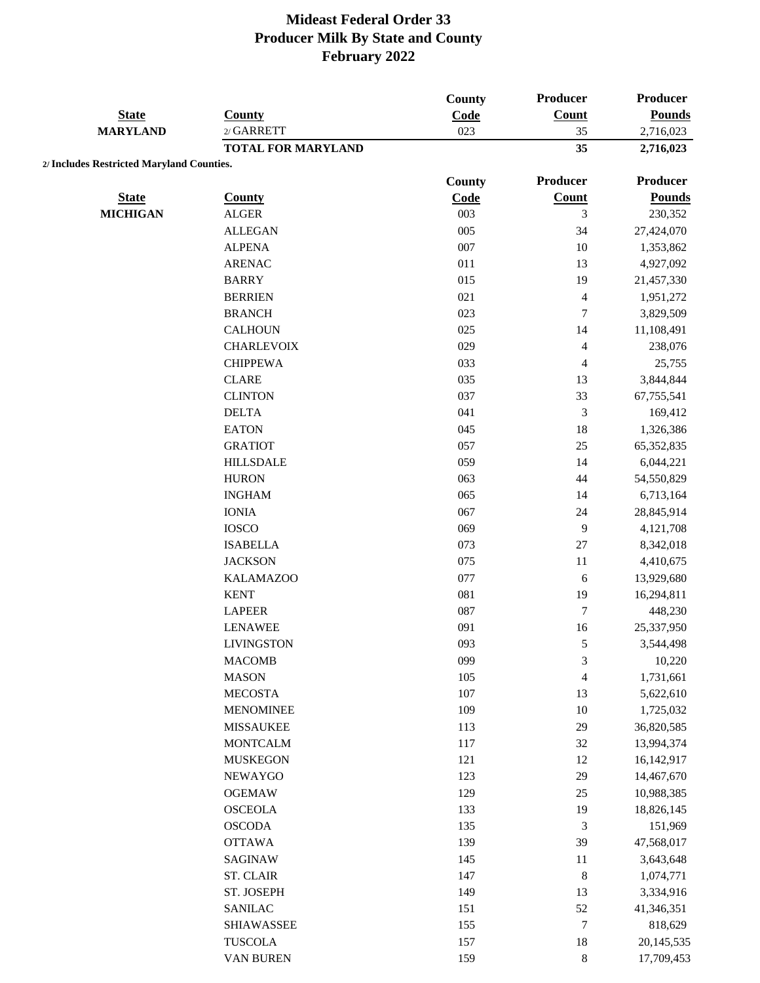|                                           |                           | County | <b>Producer</b>         | Producer        |
|-------------------------------------------|---------------------------|--------|-------------------------|-----------------|
| <b>State</b><br><b>MARYLAND</b>           | <b>County</b>             | Code   | <b>Count</b>            | <b>Pounds</b>   |
|                                           | 2/ GARRETT                | 023    | 35                      | 2,716,023       |
|                                           | <b>TOTAL FOR MARYLAND</b> |        | 35                      | 2,716,023       |
| 2/ Includes Restricted Maryland Counties. |                           |        |                         |                 |
|                                           |                           | County | Producer                | <b>Producer</b> |
| <b>State</b>                              | <b>County</b>             | Code   | <b>Count</b>            | <b>Pounds</b>   |
| <b>MICHIGAN</b>                           | <b>ALGER</b>              | 003    | 3                       | 230,352         |
|                                           | <b>ALLEGAN</b>            | 005    | 34                      | 27,424,070      |
|                                           | <b>ALPENA</b>             | 007    | 10                      | 1,353,862       |
|                                           | <b>ARENAC</b>             | 011    | 13                      | 4,927,092       |
|                                           | <b>BARRY</b>              | 015    | 19                      | 21,457,330      |
|                                           | <b>BERRIEN</b>            | 021    | 4                       | 1,951,272       |
|                                           | <b>BRANCH</b>             | 023    | 7                       | 3,829,509       |
|                                           | <b>CALHOUN</b>            | 025    | 14                      | 11,108,491      |
|                                           | <b>CHARLEVOIX</b>         | 029    | $\overline{\mathbf{4}}$ | 238,076         |
|                                           | <b>CHIPPEWA</b>           | 033    | $\overline{4}$          | 25,755          |
|                                           | <b>CLARE</b>              | 035    | 13                      | 3,844,844       |
|                                           | <b>CLINTON</b>            | 037    | 33                      | 67,755,541      |
|                                           | <b>DELTA</b>              | 041    | $\mathfrak{Z}$          | 169,412         |
|                                           | <b>EATON</b>              | 045    | 18                      | 1,326,386       |
|                                           | <b>GRATIOT</b>            | 057    | $25\,$                  | 65, 352, 835    |
|                                           | <b>HILLSDALE</b>          | 059    | 14                      | 6,044,221       |
|                                           | <b>HURON</b>              | 063    | 44                      | 54,550,829      |
|                                           | $\rm INGHAM$              | 065    | 14                      | 6,713,164       |
|                                           | <b>IONIA</b>              | 067    | 24                      | 28,845,914      |
|                                           | <b>IOSCO</b>              | 069    | 9                       | 4,121,708       |
|                                           | <b>ISABELLA</b>           | 073    | $27\,$                  | 8,342,018       |
|                                           | <b>JACKSON</b>            | 075    | $11\,$                  | 4,410,675       |
|                                           | <b>KALAMAZOO</b>          | 077    | 6                       | 13,929,680      |
|                                           | <b>KENT</b>               | 081    | 19                      | 16,294,811      |
|                                           | <b>LAPEER</b>             | 087    | 7                       | 448,230         |
|                                           | <b>LENAWEE</b>            | 091    | 16                      | 25,337,950      |
|                                           | <b>LIVINGSTON</b>         | 093    | 5                       | 3,544,498       |
|                                           | <b>MACOMB</b>             | 099    | $\sqrt{3}$              | 10,220          |
|                                           | <b>MASON</b>              | 105    | $\overline{4}$          | 1,731,661       |
|                                           | <b>MECOSTA</b>            | 107    | 13                      | 5,622,610       |
|                                           | <b>MENOMINEE</b>          | 109    | $10\,$                  | 1,725,032       |
|                                           | <b>MISSAUKEE</b>          | 113    | 29                      | 36,820,585      |
|                                           | <b>MONTCALM</b>           | 117    | $32\,$                  | 13,994,374      |
|                                           | <b>MUSKEGON</b>           | 121    | 12                      | 16,142,917      |
|                                           | NEWAYGO                   | 123    | 29                      | 14,467,670      |
|                                           | <b>OGEMAW</b>             | 129    | $25\,$                  | 10,988,385      |
|                                           | <b>OSCEOLA</b>            | 133    | 19                      | 18,826,145      |
|                                           | <b>OSCODA</b>             | 135    | $\mathfrak 3$           | 151,969         |
|                                           | <b>OTTAWA</b>             | 139    | 39                      | 47,568,017      |
|                                           | SAGINAW                   | 145    | 11                      | 3,643,648       |
|                                           | ST. CLAIR                 | 147    | $\,$ $\,$               | 1,074,771       |
|                                           | ST. JOSEPH                | 149    | 13                      | 3,334,916       |
|                                           | <b>SANILAC</b>            | 151    | 52                      | 41,346,351      |
|                                           | <b>SHIAWASSEE</b>         | 155    | $\boldsymbol{7}$        | 818,629         |
|                                           | TUSCOLA                   | 157    | 18                      | 20,145,535      |
|                                           | VAN BUREN                 | 159    | $\,8\,$                 | 17,709,453      |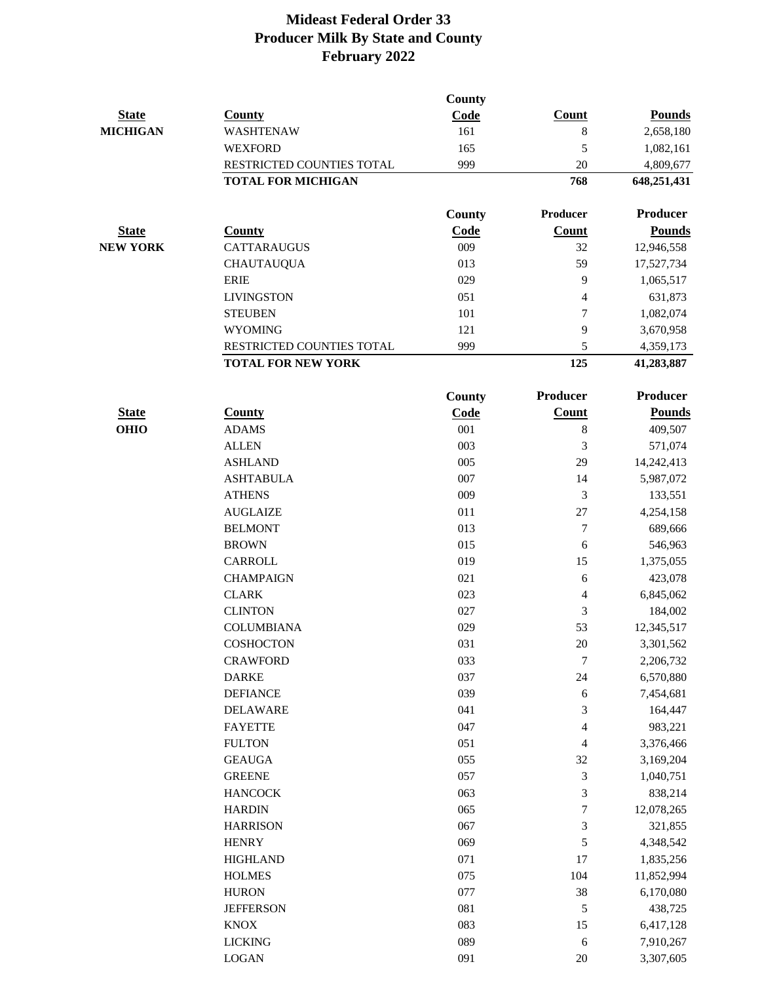|                 |                           | County |                 |                 |
|-----------------|---------------------------|--------|-----------------|-----------------|
| <b>State</b>    | <b>County</b>             | Code   | <b>Count</b>    | <b>Pounds</b>   |
| <b>MICHIGAN</b> | WASHTENAW                 | 161    | 8               | 2,658,180       |
|                 | <b>WEXFORD</b>            | 165    | 5               | 1,082,161       |
|                 | RESTRICTED COUNTIES TOTAL | 999    | 20              | 4,809,677       |
|                 | <b>TOTAL FOR MICHIGAN</b> |        | 768             | 648,251,431     |
|                 |                           | County | Producer        | <b>Producer</b> |
| <b>State</b>    | <b>County</b>             | Code   | Count           | <b>Pounds</b>   |
| <b>NEW YORK</b> | <b>CATTARAUGUS</b>        | 009    | 32              | 12,946,558      |
|                 | <b>CHAUTAUQUA</b>         | 013    | 59              | 17,527,734      |
|                 | <b>ERIE</b>               | 029    | 9               | 1,065,517       |
|                 | <b>LIVINGSTON</b>         | 051    | 4               | 631,873         |
|                 | <b>STEUBEN</b>            | 101    | 7               | 1,082,074       |
|                 | <b>WYOMING</b>            | 121    | 9               | 3,670,958       |
|                 | RESTRICTED COUNTIES TOTAL | 999    | 5               | 4,359,173       |
|                 | <b>TOTAL FOR NEW YORK</b> |        | 125             | 41,283,887      |
|                 |                           | County | <b>Producer</b> | <b>Producer</b> |
| <b>State</b>    | <b>County</b>             | Code   | <b>Count</b>    | <b>Pounds</b>   |
| <b>OHIO</b>     | <b>ADAMS</b>              | 001    | 8               | 409,507         |
|                 | <b>ALLEN</b>              | 003    | 3               | 571,074         |
|                 | <b>ASHLAND</b>            | 005    | 29              | 14,242,413      |
|                 | <b>ASHTABULA</b>          | 007    | 14              | 5,987,072       |
|                 | <b>ATHENS</b>             | 009    | 3               | 133,551         |
|                 | <b>AUGLAIZE</b>           | 011    | 27              | 4,254,158       |
|                 | <b>BELMONT</b>            | 013    | 7               | 689,666         |
|                 | <b>BROWN</b>              | 015    | 6               | 546,963         |
|                 | CARROLL                   | 019    | 15              | 1,375,055       |
|                 | <b>CHAMPAIGN</b>          | 021    | 6               | 423,078         |
|                 | <b>CLARK</b>              | 023    | 4               | 6,845,062       |
|                 | <b>CLINTON</b>            | 027    | 3               | 184,002         |
|                 | <b>COLUMBIANA</b>         | 029    | 53              | 12,345,517      |
|                 | <b>COSHOCTON</b>          | 031    | $20\,$          | 3,301,562       |
|                 | <b>CRAWFORD</b>           | 033    | 7               | 2,206,732       |
|                 | <b>DARKE</b>              | 037    | $24\,$          | 6,570,880       |
|                 | <b>DEFIANCE</b>           | 039    | 6               | 7,454,681       |
|                 | <b>DELAWARE</b>           | 041    | 3               | 164,447         |
|                 | <b>FAYETTE</b>            | 047    | 4               | 983,221         |
|                 | <b>FULTON</b>             | 051    | 4               | 3,376,466       |
|                 | <b>GEAUGA</b>             | 055    | 32              | 3,169,204       |
|                 | <b>GREENE</b>             | 057    | 3               | 1,040,751       |
|                 | <b>HANCOCK</b>            | 063    | 3               | 838,214         |
|                 | <b>HARDIN</b>             | 065    | 7               | 12,078,265      |
|                 | <b>HARRISON</b>           | 067    | 3               | 321,855         |
|                 | <b>HENRY</b>              | 069    | 5               | 4,348,542       |
|                 | <b>HIGHLAND</b>           | 071    | 17              | 1,835,256       |
|                 | <b>HOLMES</b>             | 075    | 104             | 11,852,994      |
|                 | <b>HURON</b>              | 077    | 38              | 6,170,080       |
|                 | <b>JEFFERSON</b>          | 081    | 5               | 438,725         |
|                 | <b>KNOX</b>               | 083    | 15              | 6,417,128       |
|                 | <b>LICKING</b>            | 089    | $\sqrt{6}$      | 7,910,267       |
|                 | <b>LOGAN</b>              | 091    | $20\,$          | 3,307,605       |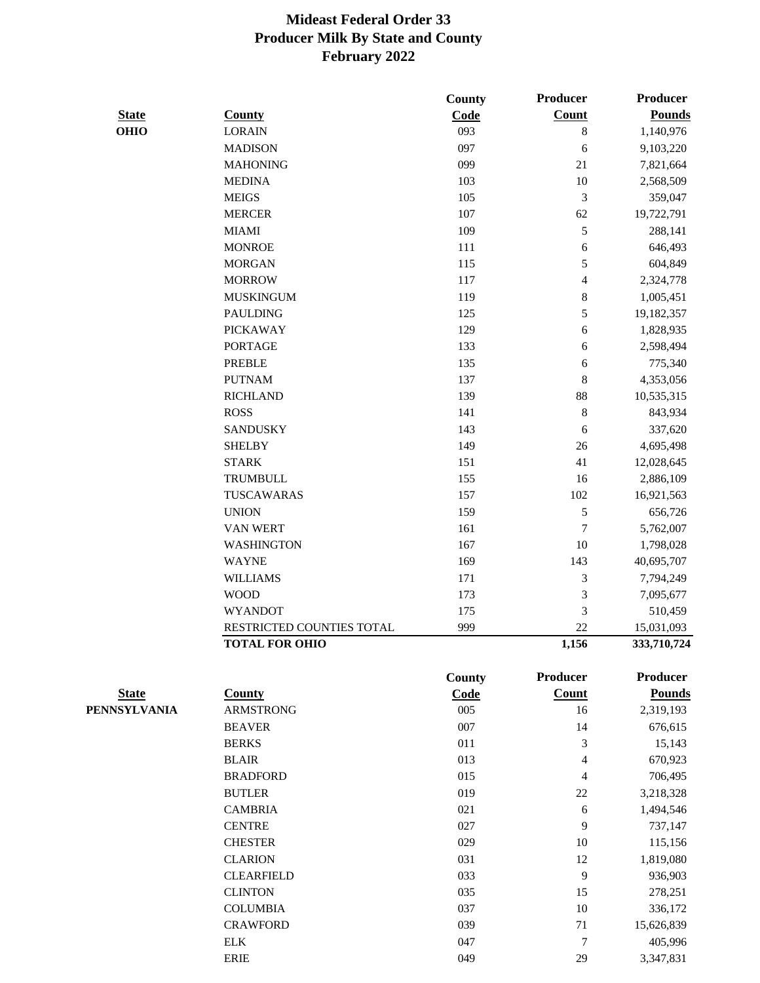|                     |                           | County        | Producer                 | Producer        |
|---------------------|---------------------------|---------------|--------------------------|-----------------|
| <b>State</b>        | <b>County</b>             | Code          | <b>Count</b>             | <b>Pounds</b>   |
| <b>OHIO</b>         | <b>LORAIN</b>             | 093           | $\,$ 8 $\,$              | 1,140,976       |
|                     | <b>MADISON</b>            | 097           | 6                        | 9,103,220       |
|                     | <b>MAHONING</b>           | 099           | 21                       | 7,821,664       |
|                     | <b>MEDINA</b>             | 103           | 10                       | 2,568,509       |
|                     | <b>MEIGS</b>              | 105           | 3                        | 359,047         |
|                     | <b>MERCER</b>             | 107           | 62                       | 19,722,791      |
|                     | <b>MIAMI</b>              | 109           | 5                        | 288,141         |
|                     | <b>MONROE</b>             | 111           | 6                        | 646,493         |
|                     | <b>MORGAN</b>             | 115           | 5                        | 604,849         |
|                     | <b>MORROW</b>             | 117           | $\overline{\mathcal{L}}$ | 2,324,778       |
|                     | <b>MUSKINGUM</b>          | 119           | 8                        | 1,005,451       |
|                     | <b>PAULDING</b>           | 125           | 5                        | 19,182,357      |
|                     | <b>PICKAWAY</b>           | 129           | 6                        | 1,828,935       |
|                     | <b>PORTAGE</b>            | 133           | 6                        | 2,598,494       |
|                     | <b>PREBLE</b>             | 135           | 6                        | 775,340         |
|                     | <b>PUTNAM</b>             | 137           | 8                        | 4,353,056       |
|                     | <b>RICHLAND</b>           | 139           | 88                       | 10,535,315      |
|                     | <b>ROSS</b>               | 141           | 8                        | 843,934         |
|                     | <b>SANDUSKY</b>           | 143           | 6                        | 337,620         |
|                     | <b>SHELBY</b>             | 149           | 26                       | 4,695,498       |
|                     | <b>STARK</b>              | 151           | 41                       | 12,028,645      |
|                     | <b>TRUMBULL</b>           | 155           | 16                       | 2,886,109       |
|                     | TUSCAWARAS                | 157           | 102                      | 16,921,563      |
|                     | <b>UNION</b>              | 159           | 5                        | 656,726         |
|                     | VAN WERT                  | 161           | $\boldsymbol{7}$         | 5,762,007       |
|                     | <b>WASHINGTON</b>         | 167           | 10                       | 1,798,028       |
|                     | <b>WAYNE</b>              | 169           | 143                      | 40,695,707      |
|                     | <b>WILLIAMS</b>           | 171           | 3                        | 7,794,249       |
|                     | <b>WOOD</b>               | 173           | 3                        | 7,095,677       |
|                     | <b>WYANDOT</b>            | 175           | 3                        | 510,459         |
|                     | RESTRICTED COUNTIES TOTAL | 999           | 22                       | 15,031,093      |
|                     | <b>TOTAL FOR OHIO</b>     |               | 1,156                    | 333,710,724     |
|                     |                           | <b>County</b> | Producer                 | <b>Producer</b> |
| <b>State</b>        | <b>County</b>             | Code          | <b>Count</b>             | <b>Pounds</b>   |
| <b>PENNSYLVANIA</b> | <b>ARMSTRONG</b>          | 005           | 16                       | 2,319,193       |
|                     | <b>BEAVER</b>             | 007           | 14                       | 676,615         |
|                     | <b>BERKS</b>              | 011           | 3                        | 15,143          |
|                     | <b>BLAIR</b>              | 013           | 4                        | 670,923         |
|                     | <b>BRADFORD</b>           | 015           | $\overline{4}$           | 706,495         |
|                     | <b>BUTLER</b>             | 019           | $22\,$                   | 3,218,328       |
|                     | <b>CAMBRIA</b>            | 021           | 6                        | 1,494,546       |
|                     | <b>CENTRE</b>             | 027           | 9                        | 737,147         |
|                     | <b>CHESTER</b>            | 029           | 10                       | 115,156         |
|                     | <b>CLARION</b>            | 031           | 12                       | 1,819,080       |
|                     | <b>CLEARFIELD</b>         | 033           | 9                        | 936,903         |
|                     | <b>CLINTON</b>            | 035           | 15                       | 278,251         |
|                     | <b>COLUMBIA</b>           | 037           | 10                       | 336,172         |
|                     | <b>CRAWFORD</b>           | 039           | 71                       | 15,626,839      |
|                     | ${\rm ELK}$               | 047           | $\boldsymbol{7}$         | 405,996         |

ERIE 049 29 3,347,831